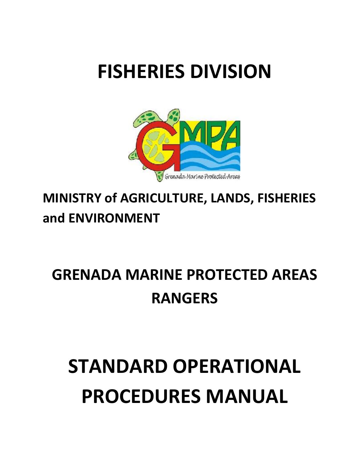# **FISHERIES DIVISION**



# **MINISTRY of AGRICULTURE, LANDS, FISHERIES and ENVIRONMENT**

# **GRENADA MARINE PROTECTED AREAS RANGERS**

# **STANDARD OPERATIONAL PROCEDURES MANUAL**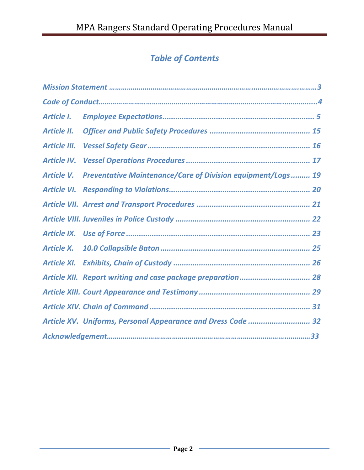# *Table of Contents*

| Article I.          |                                                                    |
|---------------------|--------------------------------------------------------------------|
| Article II.         |                                                                    |
| <b>Article III.</b> |                                                                    |
| <b>Article IV.</b>  |                                                                    |
| Article V.          | <b>Preventative Maintenance/Care of Division equipment/Logs 19</b> |
| Article VI.         |                                                                    |
|                     |                                                                    |
|                     |                                                                    |
|                     |                                                                    |
| <b>Article X.</b>   |                                                                    |
|                     |                                                                    |
|                     | Article XII. Report writing and case package preparation 28        |
|                     |                                                                    |
|                     |                                                                    |
|                     | Article XV. Uniforms, Personal Appearance and Dress Code  32       |
|                     |                                                                    |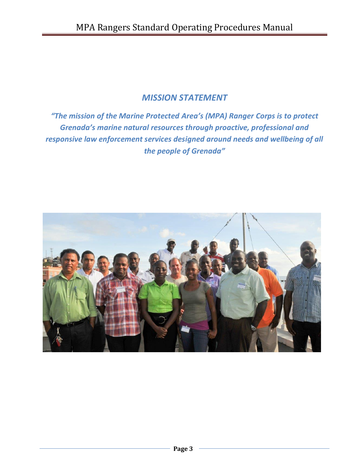#### *MISSION STATEMENT*

*"The mission of the Marine Protected Area's (MPA) Ranger Corps is to protect Grenada's marine natural resources through proactive, professional and responsive law enforcement services designed around needs and wellbeing of all the people of Grenada"*

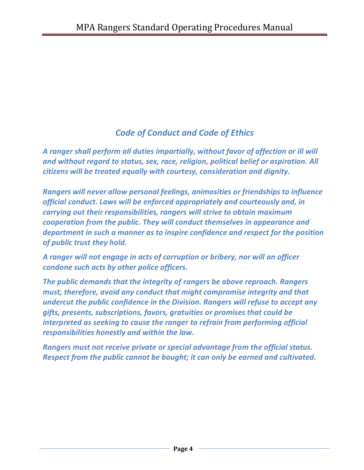# *Code of Conduct and Code of Ethics*

*A ranger shall perform all duties impartially, without favor of affection or ill will and without regard to status, sex, race, religion, political belief or aspiration. All citizens will be treated equally with courtesy, consideration and dignity.*

*Rangers will never allow personal feelings, animosities or friendships to influence official conduct. Laws will be enforced appropriately and courteously and, in carrying out their responsibilities, rangers will strive to obtain maximum cooperation from the public. They will conduct themselves in appearance and department in such a manner as to inspire confidence and respect for the position of public trust they hold.* 

*A ranger will not engage in acts of corruption or bribery, nor will an officer condone such acts by other police officers.*

*The public demands that the integrity of rangers be above reproach. Rangers must, therefore, avoid any conduct that might compromise integrity and that undercut the public confidence in the Division. Rangers will refuse to accept any gifts, presents, subscriptions, favors, gratuities or promises that could be interpreted as seeking to cause the ranger to refrain from performing official responsibilities honestly and within the law.*

*Rangers must not receive private or special advantage from the official status. Respect from the public cannot be bought; it can only be earned and cultivated.*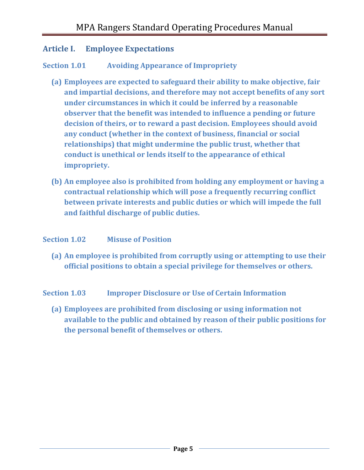#### <span id="page-4-0"></span>**Article I. Employee Expectations**

#### **Section 1.01 Avoiding Appearance of Impropriety**

- **(a) Employees are expected to safeguard their ability to make objective, fair and impartial decisions, and therefore may not accept benefits of any sort under circumstances in which it could be inferred by a reasonable observer that the benefit was intended to influence a pending or future decision of theirs, or to reward a past decision. Employees should avoid any conduct (whether in the context of business, financial or social relationships) that might undermine the public trust, whether that conduct is unethical or lends itself to the appearance of ethical impropriety.**
- **(b) An employee also is prohibited from holding any employment or having a contractual relationship which will pose a frequently recurring conflict between private interests and public duties or which will impede the full and faithful discharge of public duties.**

#### **Section 1.02 Misuse of Position**

**(a) An employee is prohibited from corruptly using or attempting to use their official positions to obtain a special privilege for themselves or others.**

**Section 1.03 Improper Disclosure or Use of Certain Information**

**(a) Employees are prohibited from disclosing or using information not available to the public and obtained by reason of their public positions for the personal benefit of themselves or others.**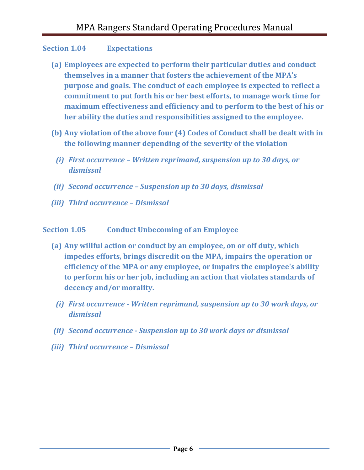#### **Section 1.04 Expectations**

- **(a) Employees are expected to perform their particular duties and conduct themselves in a manner that fosters the achievement of the MPA's purpose and goals. The conduct of each employee is expected to reflect a commitment to put forth his or her best efforts, to manage work time for maximum effectiveness and efficiency and to perform to the best of his or her ability the duties and responsibilities assigned to the employee.**
- **(b) Any violation of the above four (4) Codes of Conduct shall be dealt with in the following manner depending of the severity of the violation**
	- *(i) First occurrence – Written reprimand, suspension up to 30 days, or dismissal*
- *(ii) Second occurrence – Suspension up to 30 days, dismissal*
- *(iii) Third occurrence – Dismissal*

#### **Section 1.05 Conduct Unbecoming of an Employee**

- **(a) Any willful action or conduct by an employee, on or off duty, which impedes efforts, brings discredit on the MPA, impairs the operation or efficiency of the MPA or any employee, or impairs the employee's ability to perform his or her job, including an action that violates standards of decency and/or morality.**
	- *(i) First occurrence - Written reprimand, suspension up to 30 work days, or dismissal*
- *(ii) Second occurrence - Suspension up to 30 work days or dismissal*
- *(iii) Third occurrence – Dismissal*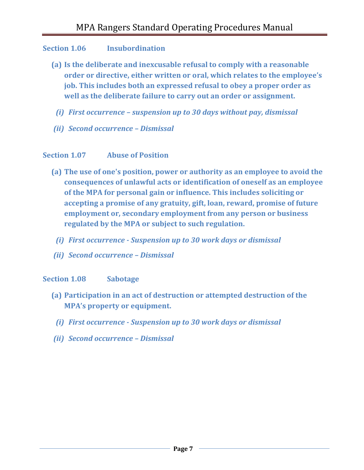#### **Section 1.06 Insubordination**

- **(a) Is the deliberate and inexcusable refusal to comply with a reasonable order or directive, either written or oral, which relates to the employee's job. This includes both an expressed refusal to obey a proper order as well as the deliberate failure to carry out an order or assignment.**
	- *(i) First occurrence – suspension up to 30 days without pay, dismissal*
- *(ii) Second occurrence – Dismissal*

#### **Section 1.07 Abuse of Position**

- **(a) The use of one's position, power or authority as an employee to avoid the consequences of unlawful acts or identification of oneself as an employee of the MPA for personal gain or influence. This includes soliciting or accepting a promise of any gratuity, gift, loan, reward, promise of future employment or, secondary employment from any person or business regulated by the MPA or subject to such regulation.**
	- *(i) First occurrence - Suspension up to 30 work days or dismissal*
- *(ii) Second occurrence – Dismissal*

#### **Section 1.08 Sabotage**

- **(a) Participation in an act of destruction or attempted destruction of the MPA's property or equipment.**
	- *(i) First occurrence - Suspension up to 30 work days or dismissal*
- *(ii) Second occurrence – Dismissal*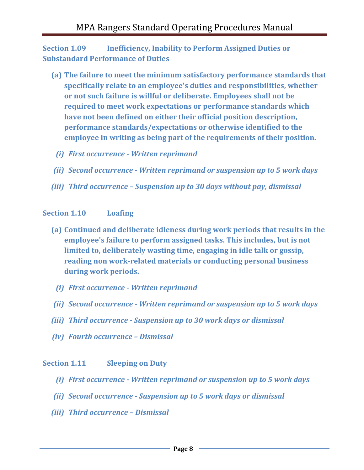**Section 1.09 Inefficiency, Inability to Perform Assigned Duties or Substandard Performance of Duties** 

- **(a) The failure to meet the minimum satisfactory performance standards that specifically relate to an employee's duties and responsibilities, whether or not such failure is willful or deliberate. Employees shall not be required to meet work expectations or performance standards which have not been defined on either their official position description, performance standards/expectations or otherwise identified to the employee in writing as being part of the requirements of their position.**
	- *(i) First occurrence - Written reprimand*
- *(ii) Second occurrence - Written reprimand or suspension up to 5 work days*
- *(iii) Third occurrence – Suspension up to 30 days without pay, dismissal*

#### **Section 1.10 Loafing**

- **(a) Continued and deliberate idleness during work periods that results in the employee's failure to perform assigned tasks. This includes, but is not limited to, deliberately wasting time, engaging in idle talk or gossip, reading non work-related materials or conducting personal business during work periods.**
- *(i) First occurrence - Written reprimand*
- *(ii) Second occurrence - Written reprimand or suspension up to 5 work days*
- *(iii) Third occurrence - Suspension up to 30 work days or dismissal*
- *(iv) Fourth occurrence – Dismissal*

#### **Section 1.11 Sleeping on Duty**

- *(i) First occurrence - Written reprimand or suspension up to 5 work days*
- *(ii) Second occurrence - Suspension up to 5 work days or dismissal*
- *(iii) Third occurrence – Dismissal*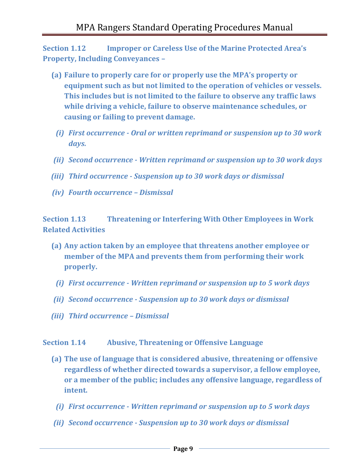**Section 1.12 Improper or Careless Use of the Marine Protected Area's Property, Including Conveyances –**

- **(a) Failure to properly care for or properly use the MPA's property or equipment such as but not limited to the operation of vehicles or vessels. This includes but is not limited to the failure to observe any traffic laws while driving a vehicle, failure to observe maintenance schedules, or causing or failing to prevent damage.**
- *(i) First occurrence - Oral or written reprimand or suspension up to 30 work days.*
- *(ii) Second occurrence - Written reprimand or suspension up to 30 work days*
- *(iii) Third occurrence - Suspension up to 30 work days or dismissal*
- *(iv) Fourth occurrence – Dismissal*

**Section 1.13 Threatening or Interfering With Other Employees in Work Related Activities** 

- **(a) Any action taken by an employee that threatens another employee or member of the MPA and prevents them from performing their work properly.**
	- *(i) First occurrence - Written reprimand or suspension up to 5 work days*
- *(ii) Second occurrence - Suspension up to 30 work days or dismissal*
- *(iii) Third occurrence – Dismissal*

**Section 1.14 Abusive, Threatening or Offensive Language** 

- **(a) The use of language that is considered abusive, threatening or offensive regardless of whether directed towards a supervisor, a fellow employee, or a member of the public; includes any offensive language, regardless of intent.**
	- *(i) First occurrence - Written reprimand or suspension up to 5 work days*
- *(ii) Second occurrence - Suspension up to 30 work days or dismissal*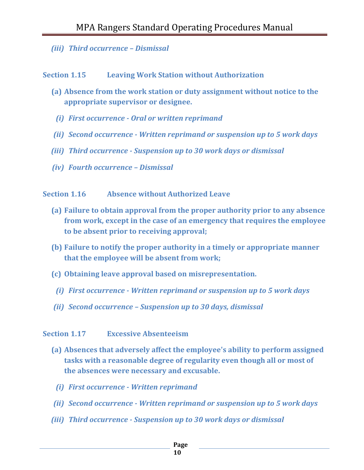*(iii) Third occurrence – Dismissal*

#### **Section 1.15 Leaving Work Station without Authorization**

- **(a) Absence from the work station or duty assignment without notice to the appropriate supervisor or designee.**
- *(i) First occurrence - Oral or written reprimand*
- *(ii) Second occurrence - Written reprimand or suspension up to 5 work days*
- *(iii) Third occurrence - Suspension up to 30 work days or dismissal*
- *(iv) Fourth occurrence – Dismissal*

#### **Section 1.16 Absence without Authorized Leave**

- **(a) Failure to obtain approval from the proper authority prior to any absence from work, except in the case of an emergency that requires the employee to be absent prior to receiving approval;**
- **(b) Failure to notify the proper authority in a timely or appropriate manner that the employee will be absent from work;**
- **(c) Obtaining leave approval based on misrepresentation.**
- *(i) First occurrence - Written reprimand or suspension up to 5 work days*
- *(ii) Second occurrence – Suspension up to 30 days, dismissal*

#### **Section 1.17 Excessive Absenteeism**

- **(a) Absences that adversely affect the employee's ability to perform assigned tasks with a reasonable degree of regularity even though all or most of the absences were necessary and excusable.**
	- *(i) First occurrence - Written reprimand*
- *(ii) Second occurrence - Written reprimand or suspension up to 5 work days*
- *(iii) Third occurrence - Suspension up to 30 work days or dismissal*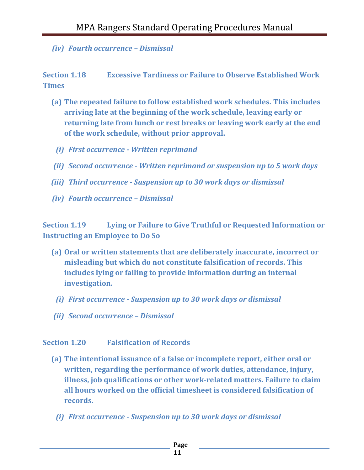*(iv) Fourth occurrence – Dismissal*

**Section 1.18 Excessive Tardiness or Failure to Observe Established Work Times** 

- **(a) The repeated failure to follow established work schedules. This includes arriving late at the beginning of the work schedule, leaving early or returning late from lunch or rest breaks or leaving work early at the end of the work schedule, without prior approval.**
	- *(i) First occurrence - Written reprimand*
- *(ii) Second occurrence - Written reprimand or suspension up to 5 work days*
- *(iii) Third occurrence - Suspension up to 30 work days or dismissal*
- *(iv) Fourth occurrence – Dismissal*

**Section 1.19 Lying or Failure to Give Truthful or Requested Information or Instructing an Employee to Do So**

- **(a) Oral or written statements that are deliberately inaccurate, incorrect or misleading but which do not constitute falsification of records. This includes lying or failing to provide information during an internal investigation.**
	- *(i) First occurrence - Suspension up to 30 work days or dismissal*
- *(ii) Second occurrence – Dismissal*

#### **Section 1.20 Falsification of Records**

- **(a) The intentional issuance of a false or incomplete report, either oral or written, regarding the performance of work duties, attendance, injury, illness, job qualifications or other work-related matters. Failure to claim all hours worked on the official timesheet is considered falsification of records.**
	- *(i) First occurrence - Suspension up to 30 work days or dismissal*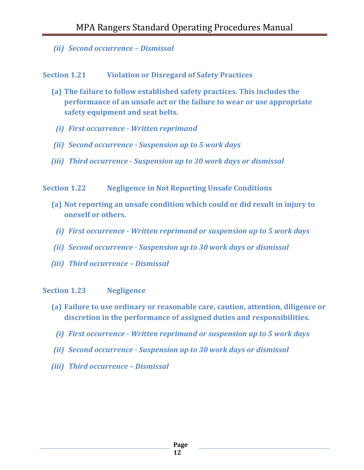*(ii) Second occurrence – Dismissal*

**Section 1.21 Violation or Disregard of Safety Practices** 

- **(a) The failure to follow established safety practices. This includes the performance of an unsafe act or the failure to wear or use appropriate safety equipment and seat belts.**
- *(i) First occurrence - Written reprimand*
- *(ii) Second occurrence - Suspension up to 5 work days*
- *(iii) Third occurrence - Suspension up to 30 work days or dismissal*
- **Section 1.22 Negligence in Not Reporting Unsafe Conditions**
	- **(a) Not reporting an unsafe condition which could or did result in injury to oneself or others.**
	- *(i) First occurrence - Written reprimand or suspension up to 5 work days*
	- *(ii) Second occurrence - Suspension up to 30 work days or dismissal*
	- *(iii) Third occurrence – Dismissal*

#### **Section 1.23 Negligence**

- **(a) Failure to use ordinary or reasonable care, caution, attention, diligence or discretion in the performance of assigned duties and responsibilities.**
- *(i) First occurrence - Written reprimand or suspension up to 5 work days*
- *(ii) Second occurrence - Suspension up to 30 work days or dismissal*
- *(iii) Third occurrence – Dismissal*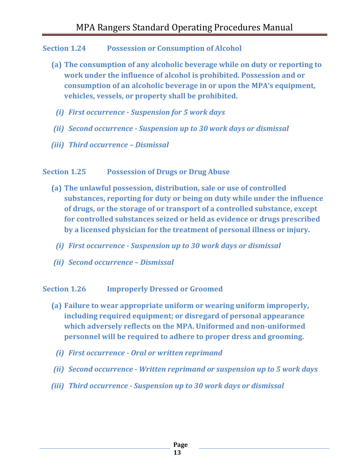#### **Section 1.24 Possession or Consumption of Alcohol**

- **(a) The consumption of any alcoholic beverage while on duty or reporting to work under the influence of alcohol is prohibited. Possession and or consumption of an alcoholic beverage in or upon the MPA's equipment, vehicles, vessels, or property shall be prohibited.**
- *(i) First occurrence - Suspension for 5 work days*
- *(ii) Second occurrence - Suspension up to 30 work days or dismissal*
- *(iii) Third occurrence – Dismissal*

#### **Section 1.25 Possession of Drugs or Drug Abuse**

- **(a) The unlawful possession, distribution, sale or use of controlled substances, reporting for duty or being on duty while under the influence of drugs, or the storage of or transport of a controlled substance, except for controlled substances seized or held as evidence or drugs prescribed by a licensed physician for the treatment of personal illness or injury.**
	- *(i) First occurrence - Suspension up to 30 work days or dismissal*
- *(ii) Second occurrence – Dismissal*

#### **Section 1.26 Improperly Dressed or Groomed**

- **(a) Failure to wear appropriate uniform or wearing uniform improperly, including required equipment; or disregard of personal appearance which adversely reflects on the MPA. Uniformed and non-uniformed personnel will be required to adhere to proper dress and grooming.**
	- *(i) First occurrence - Oral or written reprimand*
- *(ii) Second occurrence - Written reprimand or suspension up to 5 work days*
- *(iii) Third occurrence - Suspension up to 30 work days or dismissal*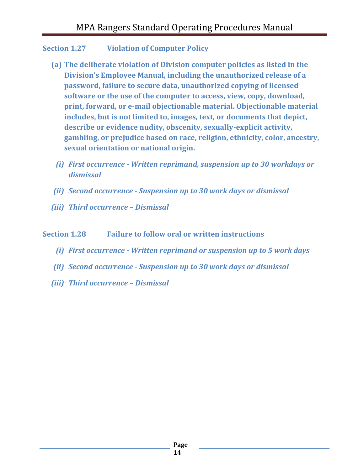#### **Section 1.27 Violation of Computer Policy**

- **(a) The deliberate violation of Division computer policies as listed in the Division's Employee Manual, including the unauthorized release of a password, failure to secure data, unauthorized copying of licensed software or the use of the computer to access, view, copy, download, print, forward, or e-mail objectionable material. Objectionable material includes, but is not limited to, images, text, or documents that depict, describe or evidence nudity, obscenity, sexually-explicit activity, gambling, or prejudice based on race, religion, ethnicity, color, ancestry, sexual orientation or national origin.**
	- *(i) First occurrence - Written reprimand, suspension up to 30 workdays or dismissal*
- *(ii) Second occurrence - Suspension up to 30 work days or dismissal*
- *(iii) Third occurrence – Dismissal*

#### **Section 1.28 Failure to follow oral or written instructions**

- *(i) First occurrence - Written reprimand or suspension up to 5 work days*
- *(ii) Second occurrence - Suspension up to 30 work days or dismissal*
- *(iii) Third occurrence – Dismissal*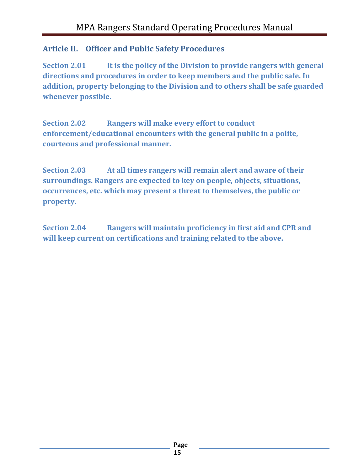# <span id="page-14-0"></span>**Article II. Officer and Public Safety Procedures**

**Section 2.01 It is the policy of the Division to provide rangers with general directions and procedures in order to keep members and the public safe. In addition, property belonging to the Division and to others shall be safe guarded whenever possible.**

**Section 2.02 Rangers will make every effort to conduct enforcement/educational encounters with the general public in a polite, courteous and professional manner.**

**Section 2.03 At all times rangers will remain alert and aware of their surroundings. Rangers are expected to key on people, objects, situations, occurrences, etc. which may present a threat to themselves, the public or property.**

**Section 2.04 Rangers will maintain proficiency in first aid and CPR and will keep current on certifications and training related to the above.**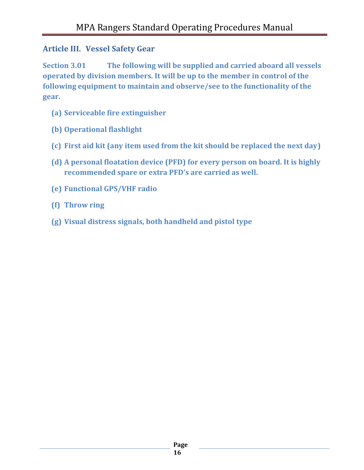### <span id="page-15-0"></span>**Article III. Vessel Safety Gear**

**Section 3.01 The following will be supplied and carried aboard all vessels operated by division members. It will be up to the member in control of the following equipment to maintain and observe/see to the functionality of the gear.**

- **(a) Serviceable fire extinguisher**
- **(b) Operational flashlight**
- **(c) First aid kit (any item used from the kit should be replaced the next day)**
- **(d) A personal floatation device (PFD) for every person on board. It is highly recommended spare or extra PFD's are carried as well.**
- **(e) Functional GPS/VHF radio**
- **(f) Throw ring**
- **(g) Visual distress signals, both handheld and pistol type**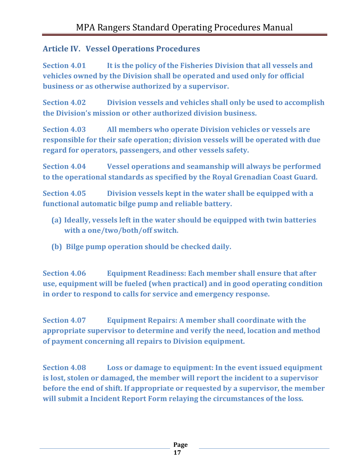# <span id="page-16-0"></span>**Article IV. Vessel Operations Procedures**

**Section 4.01 It is the policy of the Fisheries Division that all vessels and vehicles owned by the Division shall be operated and used only for official business or as otherwise authorized by a supervisor.**

**Section 4.02 Division vessels and vehicles shall only be used to accomplish the Division's mission or other authorized division business.**

**Section 4.03 All members who operate Division vehicles or vessels are responsible for their safe operation; division vessels will be operated with due regard for operators, passengers, and other vessels safety.**

**Section 4.04 Vessel operations and seamanship will always be performed to the operational standards as specified by the Royal Grenadian Coast Guard.**

**Section 4.05 Division vessels kept in the water shall be equipped with a functional automatic bilge pump and reliable battery.**

- **(a) Ideally, vessels left in the water should be equipped with twin batteries with a one/two/both/off switch.**
- **(b) Bilge pump operation should be checked daily.**

**Section 4.06 Equipment Readiness: Each member shall ensure that after use, equipment will be fueled (when practical) and in good operating condition in order to respond to calls for service and emergency response.**

**Section 4.07 Equipment Repairs: A member shall coordinate with the appropriate supervisor to determine and verify the need, location and method of payment concerning all repairs to Division equipment.**

**Section 4.08 Loss or damage to equipment: In the event issued equipment is lost, stolen or damaged, the member will report the incident to a supervisor before the end of shift. If appropriate or requested by a supervisor, the member will submit a Incident Report Form relaying the circumstances of the loss.**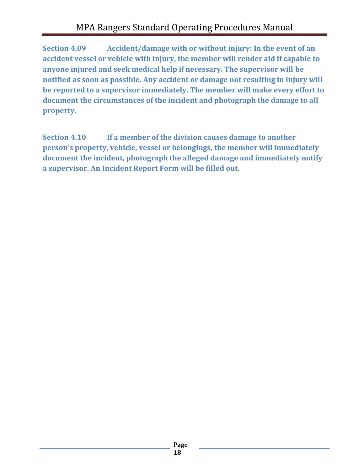**Section 4.09 Accident/damage with or without injury: In the event of an accident vessel or vehicle with injury, the member will render aid if capable to anyone injured and seek medical help if necessary. The supervisor will be notified as soon as possible. Any accident or damage not resulting in injury will be reported to a supervisor immediately. The member will make every effort to document the circumstances of the incident and photograph the damage to all property.**

**Section 4.10 If a member of the division causes damage to another person's property, vehicle, vessel or belongings, the member will immediately document the incident, photograph the alleged damage and immediately notify a supervisor. An Incident Report Form will be filled out.**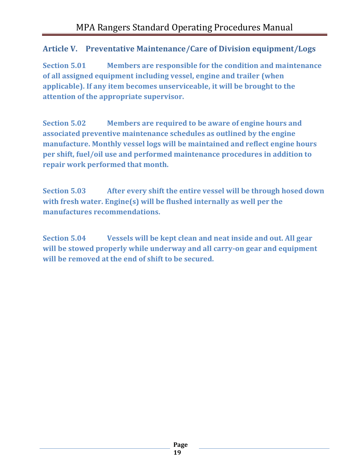# <span id="page-18-0"></span>**Article V. Preventative Maintenance/Care of Division equipment/Logs**

**Section 5.01 Members are responsible for the condition and maintenance of all assigned equipment including vessel, engine and trailer (when applicable). If any item becomes unserviceable, it will be brought to the attention of the appropriate supervisor.**

**Section 5.02 Members are required to be aware of engine hours and associated preventive maintenance schedules as outlined by the engine manufacture. Monthly vessel logs will be maintained and reflect engine hours per shift, fuel/oil use and performed maintenance procedures in addition to repair work performed that month.** 

**Section 5.03 After every shift the entire vessel will be through hosed down with fresh water. Engine(s) will be flushed internally as well per the manufactures recommendations.**

**Section 5.04 Vessels will be kept clean and neat inside and out. All gear will be stowed properly while underway and all carry-on gear and equipment will be removed at the end of shift to be secured.**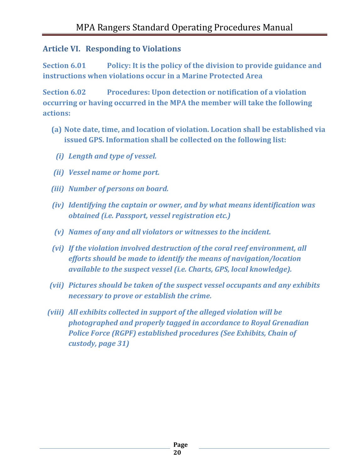#### <span id="page-19-0"></span>**Article VI. Responding to Violations**

**Section 6.01 Policy: It is the policy of the division to provide guidance and instructions when violations occur in a Marine Protected Area**

**Section 6.02 Procedures: Upon detection or notification of a violation occurring or having occurred in the MPA the member will take the following actions:**

- **(a) Note date, time, and location of violation. Location shall be established via issued GPS. Information shall be collected on the following list:**
	- *(i) Length and type of vessel.*
- *(ii) Vessel name or home port.*
- *(iii) Number of persons on board.*
- *(iv) Identifying the captain or owner, and by what means identification was obtained (i.e. Passport, vessel registration etc.)*
- *(v) Names of any and all violators or witnesses to the incident.*
- *(vi) If the violation involved destruction of the coral reef environment, all efforts should be made to identify the means of navigation/location available to the suspect vessel (i.e. Charts, GPS, local knowledge).*
- *(vii) Pictures should be taken of the suspect vessel occupants and any exhibits necessary to prove or establish the crime.*
- *(viii) All exhibits collected in support of the alleged violation will be photographed and properly tagged in accordance to Royal Grenadian Police Force (RGPF) established procedures (See Exhibits, Chain of custody, page 31)*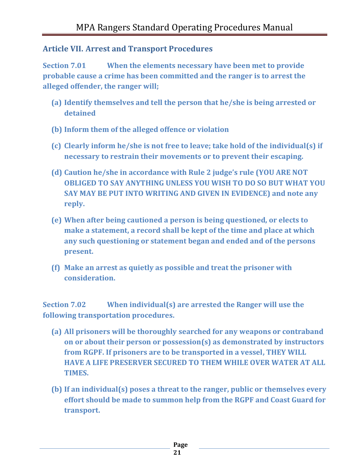#### <span id="page-20-0"></span>**Article VII. Arrest and Transport Procedures**

**Section 7.01 When the elements necessary have been met to provide probable cause a crime has been committed and the ranger is to arrest the alleged offender, the ranger will;**

- **(a) Identify themselves and tell the person that he/she is being arrested or detained**
- **(b) Inform them of the alleged offence or violation**
- **(c) Clearly inform he/she is not free to leave; take hold of the individual(s) if necessary to restrain their movements or to prevent their escaping.**
- **(d) Caution he/she in accordance with Rule 2 judge's rule (YOU ARE NOT OBLIGED TO SAY ANYTHING UNLESS YOU WISH TO DO SO BUT WHAT YOU SAY MAY BE PUT INTO WRITING AND GIVEN IN EVIDENCE) and note any reply.**
- **(e) When after being cautioned a person is being questioned, or elects to make a statement, a record shall be kept of the time and place at which any such questioning or statement began and ended and of the persons present.**
- **(f) Make an arrest as quietly as possible and treat the prisoner with consideration.**

**Section 7.02 When individual(s) are arrested the Ranger will use the following transportation procedures.**

- **(a) All prisoners will be thoroughly searched for any weapons or contraband on or about their person or possession(s) as demonstrated by instructors from RGPF. If prisoners are to be transported in a vessel, THEY WILL HAVE A LIFE PRESERVER SECURED TO THEM WHILE OVER WATER AT ALL TIMES.**
- **(b) If an individual(s) poses a threat to the ranger, public or themselves every effort should be made to summon help from the RGPF and Coast Guard for transport.**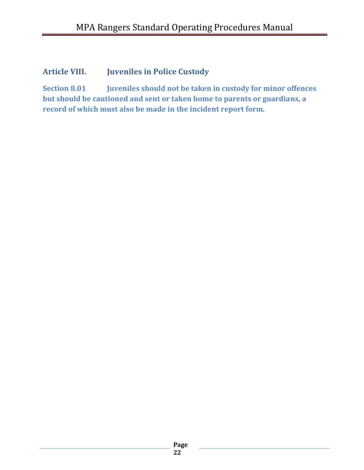# <span id="page-21-0"></span>**Article VIII. Juveniles in Police Custody**

**Section 8.01 Juveniles should not be taken in custody for minor offences but should be cautioned and sent or taken home to parents or guardians, a record of which must also be made in the incident report form.**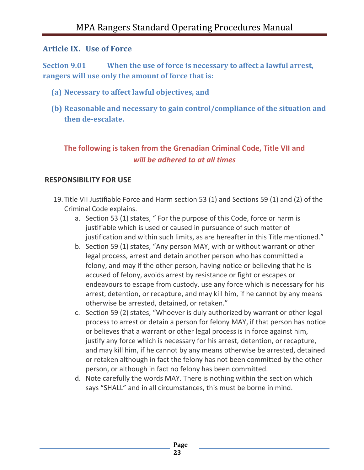#### <span id="page-22-0"></span>**Article IX. Use of Force**

**Section 9.01 When the use of force is necessary to affect a lawful arrest, rangers will use only the amount of force that is:**

- **(a) Necessary to affect lawful objectives, and**
- **(b) Reasonable and necessary to gain control/compliance of the situation and then de-escalate.**

# **The following is taken from the Grenadian Criminal Code, Title VII and**  *will be adhered to at all times*

#### **RESPONSIBILITY FOR USE**

- 19. Title VII Justifiable Force and Harm section 53 (1) and Sections 59 (1) and (2) of the Criminal Code explains.
	- a. Section 53 (1) states, " For the purpose of this Code, force or harm is justifiable which is used or caused in pursuance of such matter of justification and within such limits, as are hereafter in this Title mentioned."
	- b. Section 59 (1) states, "Any person MAY, with or without warrant or other legal process, arrest and detain another person who has committed a felony, and may if the other person, having notice or believing that he is accused of felony, avoids arrest by resistance or fight or escapes or endeavours to escape from custody, use any force which is necessary for his arrest, detention, or recapture, and may kill him, if he cannot by any means otherwise be arrested, detained, or retaken."
	- c. Section 59 (2) states, "Whoever is duly authorized by warrant or other legal process to arrest or detain a person for felony MAY, if that person has notice or believes that a warrant or other legal process is in force against him, justify any force which is necessary for his arrest, detention, or recapture, and may kill him, if he cannot by any means otherwise be arrested, detained or retaken although in fact the felony has not been committed by the other person, or although in fact no felony has been committed.
	- d. Note carefully the words MAY. There is nothing within the section which says "SHALL" and in all circumstances, this must be borne in mind.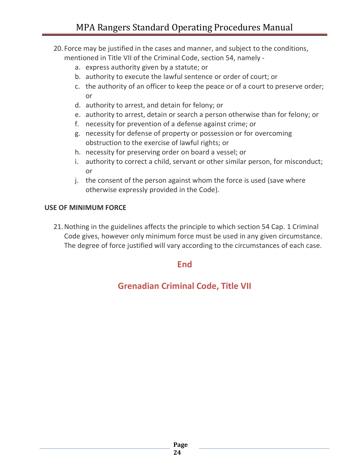- 20. Force may be justified in the cases and manner, and subject to the conditions, mentioned in Title VII of the Criminal Code, section 54, namely
	- a. express authority given by a statute; or
	- b. authority to execute the lawful sentence or order of court; or
	- c. the authority of an officer to keep the peace or of a court to preserve order; or
	- d. authority to arrest, and detain for felony; or
	- e. authority to arrest, detain or search a person otherwise than for felony; or
	- f. necessity for prevention of a defense against crime; or
	- g. necessity for defense of property or possession or for overcoming obstruction to the exercise of lawful rights; or
	- h. necessity for preserving order on board a vessel; or
	- i. authority to correct a child, servant or other similar person, for misconduct; or
	- j. the consent of the person against whom the force is used (save where otherwise expressly provided in the Code).

#### **USE OF MINIMUM FORCE**

21.Nothing in the guidelines affects the principle to which section 54 Cap. 1 Criminal Code gives, however only minimum force must be used in any given circumstance. The degree of force justified will vary according to the circumstances of each case.

#### **End**

# **Grenadian Criminal Code, Title VII**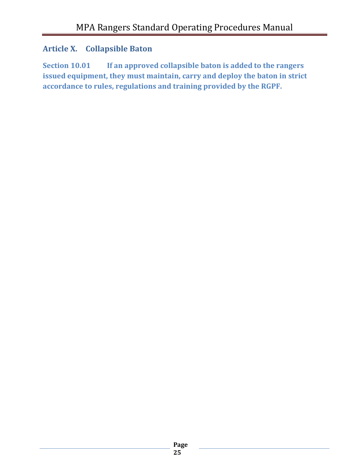### <span id="page-24-0"></span>**Article X. Collapsible Baton**

**Section 10.01 If an approved collapsible baton is added to the rangers issued equipment, they must maintain, carry and deploy the baton in strict accordance to rules, regulations and training provided by the RGPF.**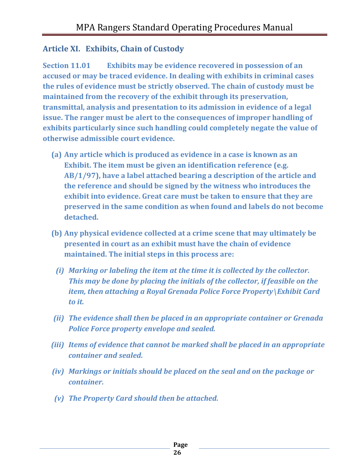#### <span id="page-25-0"></span>**Article XI. Exhibits, Chain of Custody**

**Section 11.01 Exhibits may be evidence recovered in possession of an accused or may be traced evidence. In dealing with exhibits in criminal cases the rules of evidence must be strictly observed. The chain of custody must be maintained from the recovery of the exhibit through its preservation, transmittal, analysis and presentation to its admission in evidence of a legal issue. The ranger must be alert to the consequences of improper handling of exhibits particularly since such handling could completely negate the value of otherwise admissible court evidence.** 

- **(a) Any article which is produced as evidence in a case is known as an Exhibit. The item must be given an identification reference (e.g. AB/1/97), have a label attached bearing a description of the article and the reference and should be signed by the witness who introduces the exhibit into evidence. Great care must be taken to ensure that they are preserved in the same condition as when found and labels do not become detached.**
- **(b) Any physical evidence collected at a crime scene that may ultimately be presented in court as an exhibit must have the chain of evidence maintained. The initial steps in this process are:** 
	- *(i) Marking or labeling the item at the time it is collected by the collector. This may be done by placing the initials of the collector, if feasible on the item, then attaching a Royal Grenada Police Force Property\Exhibit Card to it.*
- *(ii) The evidence shall then be placed in an appropriate container or Grenada Police Force property envelope and sealed.*
- *(iii) Items of evidence that cannot be marked shall be placed in an appropriate container and sealed.*
- *(iv) Markings or initials should be placed on the seal and on the package or container.*
- *(v) The Property Card should then be attached.*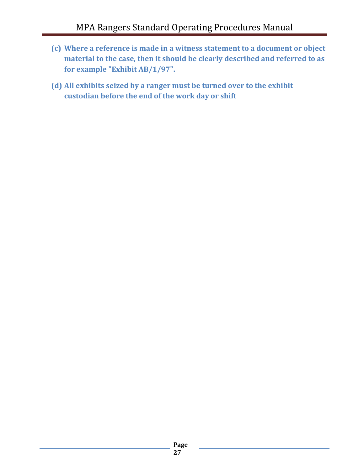- **(c) Where a reference is made in a witness statement to a document or object material to the case, then it should be clearly described and referred to as for example "Exhibit AB/1/97".**
- **(d) All exhibits seized by a ranger must be turned over to the exhibit custodian before the end of the work day or shift**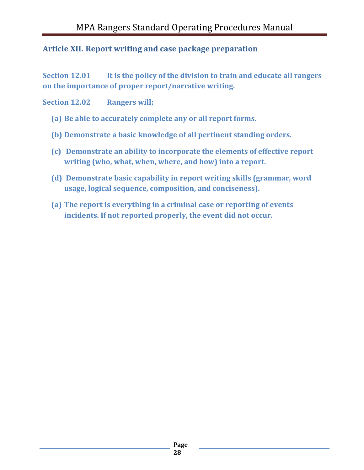### <span id="page-27-0"></span>**Article XII. Report writing and case package preparation**

**Section 12.01 It is the policy of the division to train and educate all rangers on the importance of proper report/narrative writing.**

#### **Section 12.02 Rangers will;**

- **(a) Be able to accurately complete any or all report forms.**
- **(b) Demonstrate a basic knowledge of all pertinent standing orders.**
- **(c) Demonstrate an ability to incorporate the elements of effective report writing (who, what, when, where, and how) into a report.**
- **(d) Demonstrate basic capability in report writing skills (grammar, word usage, logical sequence, composition, and conciseness).**
- **(a) The report is everything in a criminal case or reporting of events incidents. If not reported properly, the event did not occur.**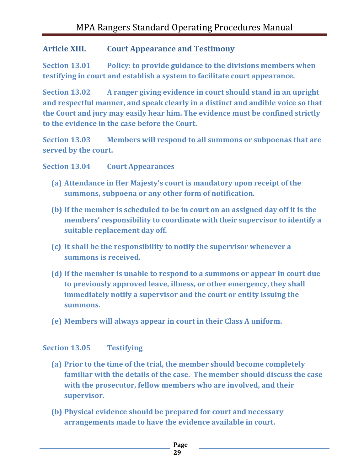#### <span id="page-28-0"></span>**Article XIII. Court Appearance and Testimony**

**Section 13.01 Policy: to provide guidance to the divisions members when testifying in court and establish a system to facilitate court appearance.**

**Section 13.02 A ranger giving evidence in court should stand in an upright and respectful manner, and speak clearly in a distinct and audible voice so that the Court and jury may easily hear him. The evidence must be confined strictly to the evidence in the case before the Court.**

**Section 13.03 Members will respond to all summons or subpoenas that are served by the court.**

**Section 13.04 Court Appearances**

- **(a) Attendance in Her Majesty's court is mandatory upon receipt of the summons, subpoena or any other form of notification.**
- **(b) If the member is scheduled to be in court on an assigned day off it is the members' responsibility to coordinate with their supervisor to identify a suitable replacement day off.**
- **(c) It shall be the responsibility to notify the supervisor whenever a summons is received.**
- **(d) If the member is unable to respond to a summons or appear in court due to previously approved leave, illness, or other emergency, they shall immediately notify a supervisor and the court or entity issuing the summons.**
- **(e) Members will always appear in court in their Class A uniform.**

#### **Section 13.05 Testifying**

- **(a) Prior to the time of the trial, the member should become completely familiar with the details of the case. The member should discuss the case with the prosecutor, fellow members who are involved, and their supervisor.**
- **(b) Physical evidence should be prepared for court and necessary arrangements made to have the evidence available in court.**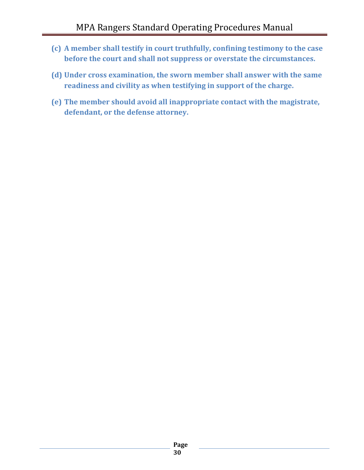- **(c) A member shall testify in court truthfully, confining testimony to the case before the court and shall not suppress or overstate the circumstances.**
- **(d) Under cross examination, the sworn member shall answer with the same readiness and civility as when testifying in support of the charge.**
- **(e) The member should avoid all inappropriate contact with the magistrate, defendant, or the defense attorney.**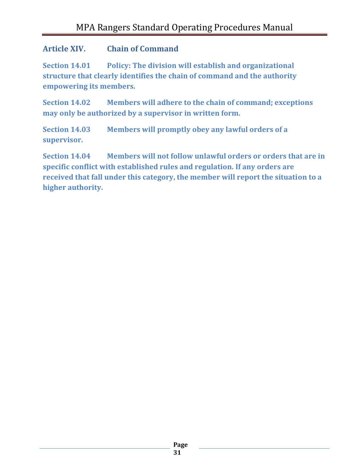#### <span id="page-30-0"></span>**Article XIV. Chain of Command**

**Section 14.01 Policy: The division will establish and organizational structure that clearly identifies the chain of command and the authority empowering its members.**

**Section 14.02 Members will adhere to the chain of command; exceptions may only be authorized by a supervisor in written form.**

**Section 14.03 Members will promptly obey any lawful orders of a supervisor.**

**Section 14.04 Members will not follow unlawful orders or orders that are in specific conflict with established rules and regulation. If any orders are received that fall under this category, the member will report the situation to a higher authority.**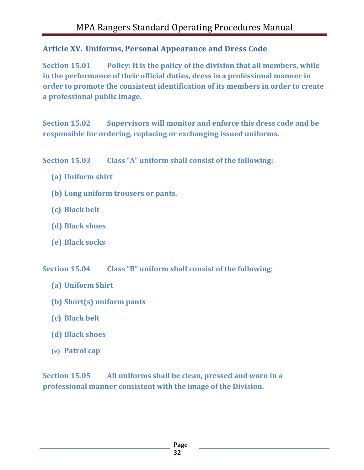# <span id="page-31-0"></span>**Article XV. Uniforms, Personal Appearance and Dress Code**

**Section 15.01 Policy: It is the policy of the division that all members, while in the performance of their official duties, dress in a professional manner in order to promote the consistent identification of its members in order to create a professional public image.**

**Section 15.02 Supervisors will monitor and enforce this dress code and be responsible for ordering, replacing or exchanging issued uniforms.**

**Section 15.03 Class "A" uniform shall consist of the following:**

- **(a) Uniform shirt**
- **(b) Long uniform trousers or pants.**
- **(c) Black belt**
- **(d) Black shoes**
- **(e) Black socks**

**Section 15.04 Class "B" uniform shall consist of the following:**

- **(a) Uniform Shirt**
- **(b) Short(s) uniform pants**
- **(c) Black belt**
- **(d) Black shoes**
- **(e) Patrol cap**

**Section 15.05 All uniforms shall be clean, pressed and worn in a professional manner consistent with the image of the Division.**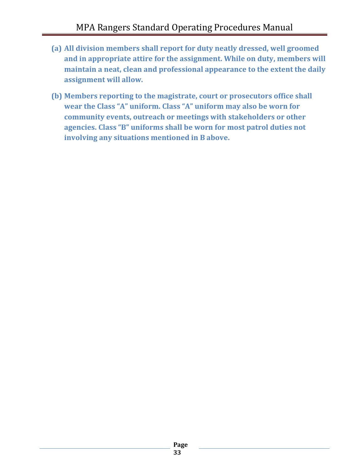- **(a) All division members shall report for duty neatly dressed, well groomed and in appropriate attire for the assignment. While on duty, members will maintain a neat, clean and professional appearance to the extent the daily assignment will allow.**
- **(b) Members reporting to the magistrate, court or prosecutors office shall wear the Class "A" uniform. Class "A" uniform may also be worn for community events, outreach or meetings with stakeholders or other agencies. Class "B" uniforms shall be worn for most patrol duties not involving any situations mentioned in B above.**